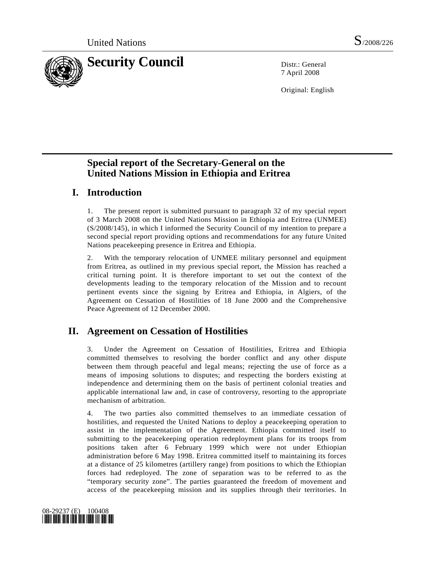

7 April 2008

Original: English

# **Special report of the Secretary-General on the United Nations Mission in Ethiopia and Eritrea**

## **I. Introduction**

1. The present report is submitted pursuant to paragraph 32 of my special report of 3 March 2008 on the United Nations Mission in Ethiopia and Eritrea (UNMEE) (S/2008/145), in which I informed the Security Council of my intention to prepare a second special report providing options and recommendations for any future United Nations peacekeeping presence in Eritrea and Ethiopia.

2. With the temporary relocation of UNMEE military personnel and equipment from Eritrea, as outlined in my previous special report, the Mission has reached a critical turning point. It is therefore important to set out the context of the developments leading to the temporary relocation of the Mission and to recount pertinent events since the signing by Eritrea and Ethiopia, in Algiers, of the Agreement on Cessation of Hostilities of 18 June 2000 and the Comprehensive Peace Agreement of 12 December 2000.

# **II. Agreement on Cessation of Hostilities**

3. Under the Agreement on Cessation of Hostilities, Eritrea and Ethiopia committed themselves to resolving the border conflict and any other dispute between them through peaceful and legal means; rejecting the use of force as a means of imposing solutions to disputes; and respecting the borders existing at independence and determining them on the basis of pertinent colonial treaties and applicable international law and, in case of controversy, resorting to the appropriate mechanism of arbitration.

4. The two parties also committed themselves to an immediate cessation of hostilities, and requested the United Nations to deploy a peacekeeping operation to assist in the implementation of the Agreement. Ethiopia committed itself to submitting to the peacekeeping operation redeployment plans for its troops from positions taken after 6 February 1999 which were not under Ethiopian administration before 6 May 1998. Eritrea committed itself to maintaining its forces at a distance of 25 kilometres (artillery range) from positions to which the Ethiopian forces had redeployed. The zone of separation was to be referred to as the "temporary security zone". The parties guaranteed the freedom of movement and access of the peacekeeping mission and its supplies through their territories. In

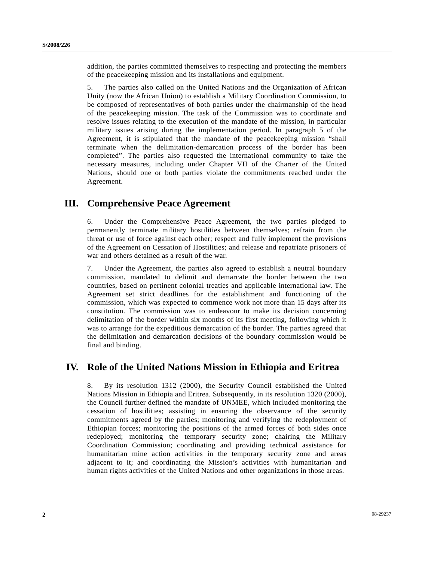addition, the parties committed themselves to respecting and protecting the members of the peacekeeping mission and its installations and equipment.

5. The parties also called on the United Nations and the Organization of African Unity (now the African Union) to establish a Military Coordination Commission, to be composed of representatives of both parties under the chairmanship of the head of the peacekeeping mission. The task of the Commission was to coordinate and resolve issues relating to the execution of the mandate of the mission, in particular military issues arising during the implementation period. In paragraph 5 of the Agreement, it is stipulated that the mandate of the peacekeeping mission "shall terminate when the delimitation-demarcation process of the border has been completed". The parties also requested the international community to take the necessary measures, including under Chapter VII of the Charter of the United Nations, should one or both parties violate the commitments reached under the Agreement.

#### **III. Comprehensive Peace Agreement**

6. Under the Comprehensive Peace Agreement, the two parties pledged to permanently terminate military hostilities between themselves; refrain from the threat or use of force against each other; respect and fully implement the provisions of the Agreement on Cessation of Hostilities; and release and repatriate prisoners of war and others detained as a result of the war.

7. Under the Agreement, the parties also agreed to establish a neutral boundary commission, mandated to delimit and demarcate the border between the two countries, based on pertinent colonial treaties and applicable international law. The Agreement set strict deadlines for the establishment and functioning of the commission, which was expected to commence work not more than 15 days after its constitution. The commission was to endeavour to make its decision concerning delimitation of the border within six months of its first meeting, following which it was to arrange for the expeditious demarcation of the border. The parties agreed that the delimitation and demarcation decisions of the boundary commission would be final and binding.

### **IV. Role of the United Nations Mission in Ethiopia and Eritrea**

8. By its resolution 1312 (2000), the Security Council established the United Nations Mission in Ethiopia and Eritrea. Subsequently, in its resolution 1320 (2000), the Council further defined the mandate of UNMEE, which included monitoring the cessation of hostilities; assisting in ensuring the observance of the security commitments agreed by the parties; monitoring and verifying the redeployment of Ethiopian forces; monitoring the positions of the armed forces of both sides once redeployed; monitoring the temporary security zone; chairing the Military Coordination Commission; coordinating and providing technical assistance for humanitarian mine action activities in the temporary security zone and areas adjacent to it; and coordinating the Mission's activities with humanitarian and human rights activities of the United Nations and other organizations in those areas.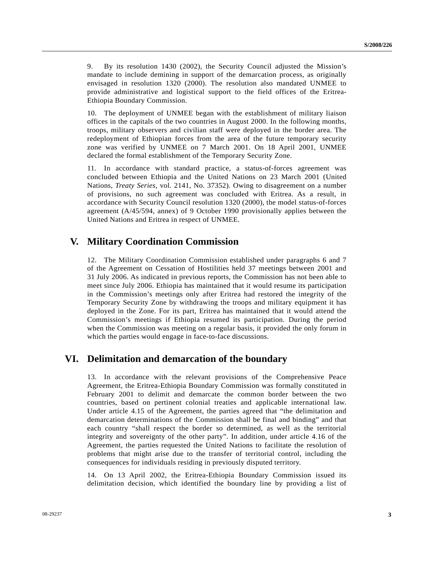9. By its resolution 1430 (2002), the Security Council adjusted the Mission's mandate to include demining in support of the demarcation process, as originally envisaged in resolution 1320 (2000). The resolution also mandated UNMEE to provide administrative and logistical support to the field offices of the Eritrea-Ethiopia Boundary Commission.

10. The deployment of UNMEE began with the establishment of military liaison offices in the capitals of the two countries in August 2000. In the following months, troops, military observers and civilian staff were deployed in the border area. The redeployment of Ethiopian forces from the area of the future temporary security zone was verified by UNMEE on 7 March 2001. On 18 April 2001, UNMEE declared the formal establishment of the Temporary Security Zone.

11. In accordance with standard practice, a status-of-forces agreement was concluded between Ethiopia and the United Nations on 23 March 2001 (United Nations, *Treaty Series*, vol. 2141, No. 37352). Owing to disagreement on a number of provisions, no such agreement was concluded with Eritrea. As a result, in accordance with Security Council resolution 1320 (2000), the model status-of-forces agreement (A/45/594, annex) of 9 October 1990 provisionally applies between the United Nations and Eritrea in respect of UNMEE.

#### **V. Military Coordination Commission**

12. The Military Coordination Commission established under paragraphs 6 and 7 of the Agreement on Cessation of Hostilities held 37 meetings between 2001 and 31 July 2006. As indicated in previous reports, the Commission has not been able to meet since July 2006. Ethiopia has maintained that it would resume its participation in the Commission's meetings only after Eritrea had restored the integrity of the Temporary Security Zone by withdrawing the troops and military equipment it has deployed in the Zone. For its part, Eritrea has maintained that it would attend the Commission's meetings if Ethiopia resumed its participation. During the period when the Commission was meeting on a regular basis, it provided the only forum in which the parties would engage in face-to-face discussions.

#### **VI. Delimitation and demarcation of the boundary**

13. In accordance with the relevant provisions of the Comprehensive Peace Agreement, the Eritrea-Ethiopia Boundary Commission was formally constituted in February 2001 to delimit and demarcate the common border between the two countries, based on pertinent colonial treaties and applicable international law. Under article 4.15 of the Agreement, the parties agreed that "the delimitation and demarcation determinations of the Commission shall be final and binding" and that each country "shall respect the border so determined, as well as the territorial integrity and sovereignty of the other party". In addition, under article 4.16 of the Agreement, the parties requested the United Nations to facilitate the resolution of problems that might arise due to the transfer of territorial control, including the consequences for individuals residing in previously disputed territory.

14. On 13 April 2002, the Eritrea-Ethiopia Boundary Commission issued its delimitation decision, which identified the boundary line by providing a list of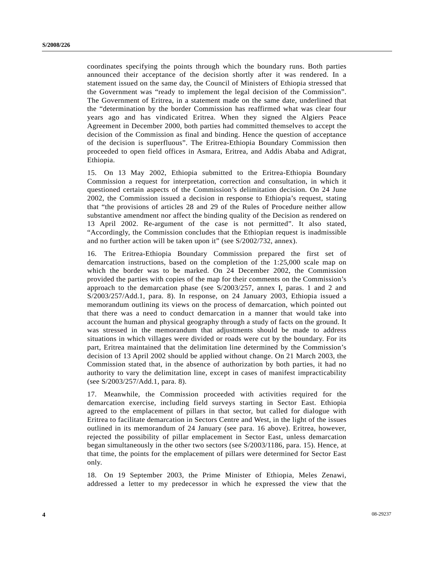coordinates specifying the points through which the boundary runs. Both parties announced their acceptance of the decision shortly after it was rendered. In a statement issued on the same day, the Council of Ministers of Ethiopia stressed that the Government was "ready to implement the legal decision of the Commission". The Government of Eritrea, in a statement made on the same date, underlined that the "determination by the border Commission has reaffirmed what was clear four years ago and has vindicated Eritrea. When they signed the Algiers Peace Agreement in December 2000, both parties had committed themselves to accept the decision of the Commission as final and binding. Hence the question of acceptance of the decision is superfluous". The Eritrea-Ethiopia Boundary Commission then proceeded to open field offices in Asmara, Eritrea, and Addis Ababa and Adigrat, Ethiopia.

15. On 13 May 2002, Ethiopia submitted to the Eritrea-Ethiopia Boundary Commission a request for interpretation, correction and consultation, in which it questioned certain aspects of the Commission's delimitation decision. On 24 June 2002, the Commission issued a decision in response to Ethiopia's request, stating that "the provisions of articles 28 and 29 of the Rules of Procedure neither allow substantive amendment nor affect the binding quality of the Decision as rendered on 13 April 2002. Re-argument of the case is not permitted". It also stated, "Accordingly, the Commission concludes that the Ethiopian request is inadmissible and no further action will be taken upon it" (see S/2002/732, annex).

16. The Eritrea-Ethiopia Boundary Commission prepared the first set of demarcation instructions, based on the completion of the 1:25,000 scale map on which the border was to be marked. On 24 December 2002, the Commission provided the parties with copies of the map for their comments on the Commission's approach to the demarcation phase (see S/2003/257, annex I, paras. 1 and 2 and S/2003/257/Add.1, para. 8). In response, on 24 January 2003, Ethiopia issued a memorandum outlining its views on the process of demarcation, which pointed out that there was a need to conduct demarcation in a manner that would take into account the human and physical geography through a study of facts on the ground. It was stressed in the memorandum that adjustments should be made to address situations in which villages were divided or roads were cut by the boundary. For its part, Eritrea maintained that the delimitation line determined by the Commission's decision of 13 April 2002 should be applied without change. On 21 March 2003, the Commission stated that, in the absence of authorization by both parties, it had no authority to vary the delimitation line, except in cases of manifest impracticability (see S/2003/257/Add.1, para. 8).

17. Meanwhile, the Commission proceeded with activities required for the demarcation exercise, including field surveys starting in Sector East. Ethiopia agreed to the emplacement of pillars in that sector, but called for dialogue with Eritrea to facilitate demarcation in Sectors Centre and West, in the light of the issues outlined in its memorandum of 24 January (see para. 16 above). Eritrea, however, rejected the possibility of pillar emplacement in Sector East, unless demarcation began simultaneously in the other two sectors (see S/2003/1186, para. 15). Hence, at that time, the points for the emplacement of pillars were determined for Sector East only.

18. On 19 September 2003, the Prime Minister of Ethiopia, Meles Zenawi, addressed a letter to my predecessor in which he expressed the view that the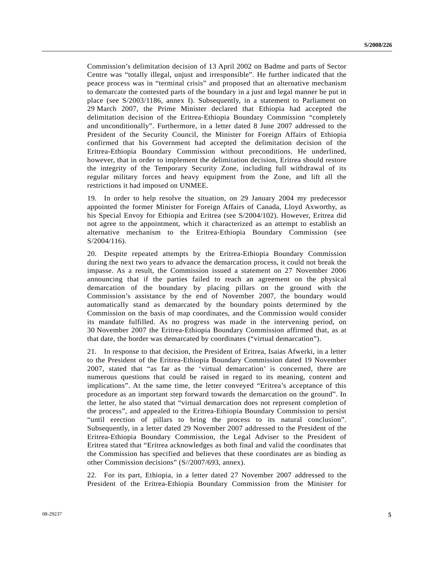Commission's delimitation decision of 13 April 2002 on Badme and parts of Sector Centre was "totally illegal, unjust and irresponsible". He further indicated that the peace process was in "terminal crisis" and proposed that an alternative mechanism to demarcate the contested parts of the boundary in a just and legal manner be put in place (see S/2003/1186, annex I). Subsequently, in a statement to Parliament on 29 March 2007, the Prime Minister declared that Ethiopia had accepted the delimitation decision of the Eritrea-Ethiopia Boundary Commission "completely and unconditionally". Furthermore, in a letter dated 8 June 2007 addressed to the President of the Security Council, the Minister for Foreign Affairs of Ethiopia confirmed that his Government had accepted the delimitation decision of the Eritrea-Ethiopia Boundary Commission without preconditions. He underlined, however, that in order to implement the delimitation decision, Eritrea should restore the integrity of the Temporary Security Zone, including full withdrawal of its regular military forces and heavy equipment from the Zone, and lift all the restrictions it had imposed on UNMEE.

19. In order to help resolve the situation, on 29 January 2004 my predecessor appointed the former Minister for Foreign Affairs of Canada, Lloyd Axworthy, as his Special Envoy for Ethiopia and Eritrea (see S/2004/102). However, Eritrea did not agree to the appointment, which it characterized as an attempt to establish an alternative mechanism to the Eritrea-Ethiopia Boundary Commission (see S/2004/116).

20. Despite repeated attempts by the Eritrea-Ethiopia Boundary Commission during the next two years to advance the demarcation process, it could not break the impasse. As a result, the Commission issued a statement on 27 November 2006 announcing that if the parties failed to reach an agreement on the physical demarcation of the boundary by placing pillars on the ground with the Commission's assistance by the end of November 2007, the boundary would automatically stand as demarcated by the boundary points determined by the Commission on the basis of map coordinates, and the Commission would consider its mandate fulfilled. As no progress was made in the intervening period, on 30 November 2007 the Eritrea-Ethiopia Boundary Commission affirmed that, as at that date, the border was demarcated by coordinates ("virtual demarcation").

21. In response to that decision, the President of Eritrea, Isaias Afwerki, in a letter to the President of the Eritrea-Ethiopia Boundary Commission dated 19 November 2007, stated that "as far as the 'virtual demarcation' is concerned, there are numerous questions that could be raised in regard to its meaning, content and implications". At the same time, the letter conveyed "Eritrea's acceptance of this procedure as an important step forward towards the demarcation on the ground". In the letter, he also stated that "virtual demarcation does not represent completion of the process", and appealed to the Eritrea-Ethiopia Boundary Commission to persist "until erection of pillars to bring the process to its natural conclusion". Subsequently, in a letter dated 29 November 2007 addressed to the President of the Eritrea-Ethiopia Boundary Commission, the Legal Adviser to the President of Eritrea stated that "Eritrea acknowledges as both final and valid the coordinates that the Commission has specified and believes that these coordinates are as binding as other Commission decisions" (S//2007/693, annex).

22. For its part, Ethiopia, in a letter dated 27 November 2007 addressed to the President of the Eritrea-Ethiopia Boundary Commission from the Minister for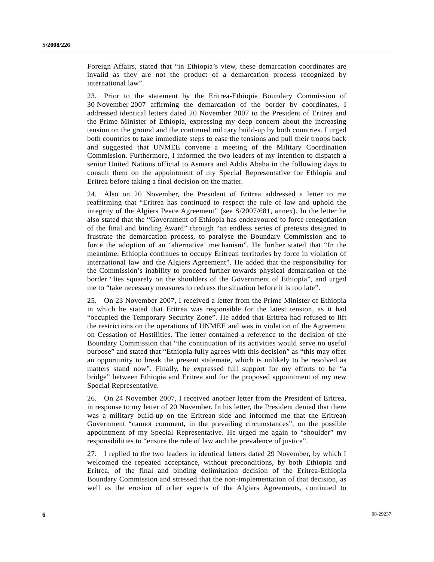Foreign Affairs, stated that "in Ethiopia's view, these demarcation coordinates are invalid as they are not the product of a demarcation process recognized by international law".

23. Prior to the statement by the Eritrea-Ethiopia Boundary Commission of 30 November 2007 affirming the demarcation of the border by coordinates, I addressed identical letters dated 20 November 2007 to the President of Eritrea and the Prime Minister of Ethiopia, expressing my deep concern about the increasing tension on the ground and the continued military build-up by both countries. I urged both countries to take immediate steps to ease the tensions and pull their troops back and suggested that UNMEE convene a meeting of the Military Coordination Commission. Furthermore, I informed the two leaders of my intention to dispatch a senior United Nations official to Asmara and Addis Ababa in the following days to consult them on the appointment of my Special Representative for Ethiopia and Eritrea before taking a final decision on the matter.

24. Also on 20 November, the President of Eritrea addressed a letter to me reaffirming that "Eritrea has continued to respect the rule of law and uphold the integrity of the Algiers Peace Agreement" (see S/2007/681, annex). In the letter he also stated that the "Government of Ethiopia has endeavoured to force renegotiation of the final and binding Award" through "an endless series of pretexts designed to frustrate the demarcation process, to paralyse the Boundary Commission and to force the adoption of an 'alternative' mechanism". He further stated that "In the meantime, Ethiopia continues to occupy Eritrean territories by force in violation of international law and the Algiers Agreement". He added that the responsibility for the Commission's inability to proceed further towards physical demarcation of the border "lies squarely on the shoulders of the Government of Ethiopia", and urged me to "take necessary measures to redress the situation before it is too late".

25. On 23 November 2007, I received a letter from the Prime Minister of Ethiopia in which he stated that Eritrea was responsible for the latest tension, as it had "occupied the Temporary Security Zone". He added that Eritrea had refused to lift the restrictions on the operations of UNMEE and was in violation of the Agreement on Cessation of Hostilities. The letter contained a reference to the decision of the Boundary Commission that "the continuation of its activities would serve no useful purpose" and stated that "Ethiopia fully agrees with this decision" as "this may offer an opportunity to break the present stalemate, which is unlikely to be resolved as matters stand now". Finally, he expressed full support for my efforts to be "a bridge" between Ethiopia and Eritrea and for the proposed appointment of my new Special Representative.

26. On 24 November 2007, I received another letter from the President of Eritrea, in response to my letter of 20 November. In his letter, the President denied that there was a military build-up on the Eritrean side and informed me that the Eritrean Government "cannot comment, in the prevailing circumstances", on the possible appointment of my Special Representative. He urged me again to "shoulder" my responsibilities to "ensure the rule of law and the prevalence of justice".

27. I replied to the two leaders in identical letters dated 29 November, by which I welcomed the repeated acceptance, without preconditions, by both Ethiopia and Eritrea, of the final and binding delimitation decision of the Eritrea-Ethiopia Boundary Commission and stressed that the non-implementation of that decision, as well as the erosion of other aspects of the Algiers Agreements, continued to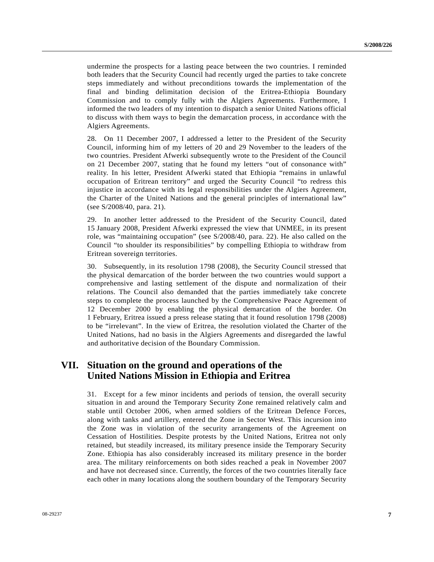undermine the prospects for a lasting peace between the two countries. I reminded both leaders that the Security Council had recently urged the parties to take concrete steps immediately and without preconditions towards the implementation of the final and binding delimitation decision of the Eritrea-Ethiopia Boundary Commission and to comply fully with the Algiers Agreements. Furthermore, I informed the two leaders of my intention to dispatch a senior United Nations official to discuss with them ways to begin the demarcation process, in accordance with the Algiers Agreements.

28. On 11 December 2007, I addressed a letter to the President of the Security Council, informing him of my letters of 20 and 29 November to the leaders of the two countries. President Afwerki subsequently wrote to the President of the Council on 21 December 2007, stating that he found my letters "out of consonance with" reality. In his letter, President Afwerki stated that Ethiopia "remains in unlawful occupation of Eritrean territory" and urged the Security Council "to redress this injustice in accordance with its legal responsibilities under the Algiers Agreement, the Charter of the United Nations and the general principles of international law" (see S/2008/40, para. 21).

29. In another letter addressed to the President of the Security Council, dated 15 January 2008, President Afwerki expressed the view that UNMEE, in its present role, was "maintaining occupation" (see S/2008/40, para. 22). He also called on the Council "to shoulder its responsibilities" by compelling Ethiopia to withdraw from Eritrean sovereign territories.

30. Subsequently, in its resolution 1798 (2008), the Security Council stressed that the physical demarcation of the border between the two countries would support a comprehensive and lasting settlement of the dispute and normalization of their relations. The Council also demanded that the parties immediately take concrete steps to complete the process launched by the Comprehensive Peace Agreement of 12 December 2000 by enabling the physical demarcation of the border. On 1 February, Eritrea issued a press release stating that it found resolution 1798 (2008) to be "irrelevant". In the view of Eritrea, the resolution violated the Charter of the United Nations, had no basis in the Algiers Agreements and disregarded the lawful and authoritative decision of the Boundary Commission.

## **VII. Situation on the ground and operations of the United Nations Mission in Ethiopia and Eritrea**

31. Except for a few minor incidents and periods of tension, the overall security situation in and around the Temporary Security Zone remained relatively calm and stable until October 2006, when armed soldiers of the Eritrean Defence Forces, along with tanks and artillery, entered the Zone in Sector West. This incursion into the Zone was in violation of the security arrangements of the Agreement on Cessation of Hostilities. Despite protests by the United Nations, Eritrea not only retained, but steadily increased, its military presence inside the Temporary Security Zone. Ethiopia has also considerably increased its military presence in the border area. The military reinforcements on both sides reached a peak in November 2007 and have not decreased since. Currently, the forces of the two countries literally face each other in many locations along the southern boundary of the Temporary Security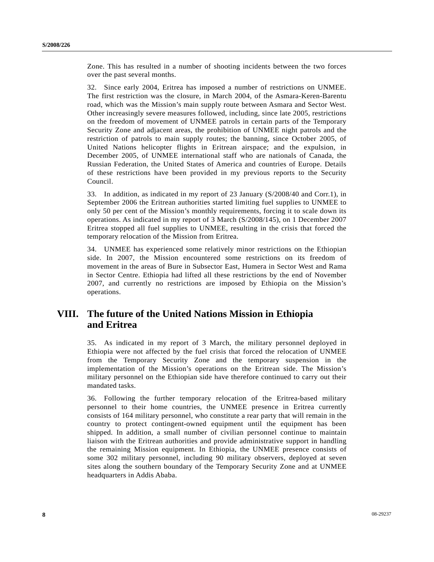Zone. This has resulted in a number of shooting incidents between the two forces over the past several months.

32. Since early 2004, Eritrea has imposed a number of restrictions on UNMEE. The first restriction was the closure, in March 2004, of the Asmara-Keren-Barentu road, which was the Mission's main supply route between Asmara and Sector West. Other increasingly severe measures followed, including, since late 2005, restrictions on the freedom of movement of UNMEE patrols in certain parts of the Temporary Security Zone and adjacent areas, the prohibition of UNMEE night patrols and the restriction of patrols to main supply routes; the banning, since October 2005, of United Nations helicopter flights in Eritrean airspace; and the expulsion, in December 2005, of UNMEE international staff who are nationals of Canada, the Russian Federation, the United States of America and countries of Europe. Details of these restrictions have been provided in my previous reports to the Security Council.

33. In addition, as indicated in my report of 23 January (S/2008/40 and Corr.1), in September 2006 the Eritrean authorities started limiting fuel supplies to UNMEE to only 50 per cent of the Mission's monthly requirements, forcing it to scale down its operations. As indicated in my report of 3 March (S/2008/145), on 1 December 2007 Eritrea stopped all fuel supplies to UNMEE, resulting in the crisis that forced the temporary relocation of the Mission from Eritrea.

34. UNMEE has experienced some relatively minor restrictions on the Ethiopian side. In 2007, the Mission encountered some restrictions on its freedom of movement in the areas of Bure in Subsector East, Humera in Sector West and Rama in Sector Centre. Ethiopia had lifted all these restrictions by the end of November 2007, and currently no restrictions are imposed by Ethiopia on the Mission's operations.

## **VIII. The future of the United Nations Mission in Ethiopia and Eritrea**

35. As indicated in my report of 3 March, the military personnel deployed in Ethiopia were not affected by the fuel crisis that forced the relocation of UNMEE from the Temporary Security Zone and the temporary suspension in the implementation of the Mission's operations on the Eritrean side. The Mission's military personnel on the Ethiopian side have therefore continued to carry out their mandated tasks.

36. Following the further temporary relocation of the Eritrea-based military personnel to their home countries, the UNMEE presence in Eritrea currently consists of 164 military personnel, who constitute a rear party that will remain in the country to protect contingent-owned equipment until the equipment has been shipped. In addition, a small number of civilian personnel continue to maintain liaison with the Eritrean authorities and provide administrative support in handling the remaining Mission equipment. In Ethiopia, the UNMEE presence consists of some 302 military personnel, including 90 military observers, deployed at seven sites along the southern boundary of the Temporary Security Zone and at UNMEE headquarters in Addis Ababa.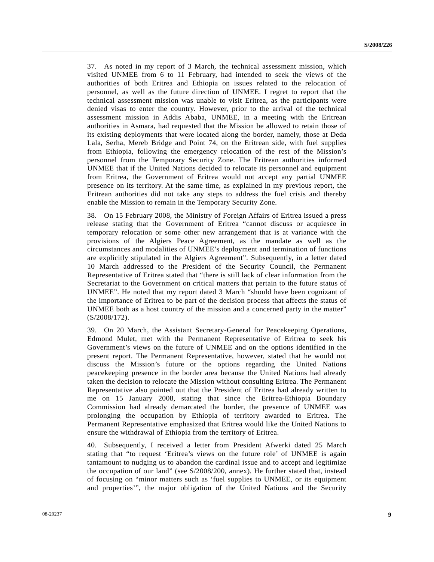37. As noted in my report of 3 March, the technical assessment mission, which visited UNMEE from 6 to 11 February, had intended to seek the views of the authorities of both Eritrea and Ethiopia on issues related to the relocation of personnel, as well as the future direction of UNMEE. I regret to report that the technical assessment mission was unable to visit Eritrea, as the participants were denied visas to enter the country. However, prior to the arrival of the technical assessment mission in Addis Ababa, UNMEE, in a meeting with the Eritrean authorities in Asmara, had requested that the Mission be allowed to retain those of its existing deployments that were located along the border, namely, those at Deda Lala, Serha, Mereb Bridge and Point 74, on the Eritrean side, with fuel supplies from Ethiopia, following the emergency relocation of the rest of the Mission's personnel from the Temporary Security Zone. The Eritrean authorities informed UNMEE that if the United Nations decided to relocate its personnel and equipment from Eritrea, the Government of Eritrea would not accept any partial UNMEE presence on its territory. At the same time, as explained in my previous report, the Eritrean authorities did not take any steps to address the fuel crisis and thereby enable the Mission to remain in the Temporary Security Zone.

38. On 15 February 2008, the Ministry of Foreign Affairs of Eritrea issued a press release stating that the Government of Eritrea "cannot discuss or acquiesce in temporary relocation or some other new arrangement that is at variance with the provisions of the Algiers Peace Agreement, as the mandate as well as the circumstances and modalities of UNMEE's deployment and termination of functions are explicitly stipulated in the Algiers Agreement". Subsequently, in a letter dated 10 March addressed to the President of the Security Council, the Permanent Representative of Eritrea stated that "there is still lack of clear information from the Secretariat to the Government on critical matters that pertain to the future status of UNMEE". He noted that my report dated 3 March "should have been cognizant of the importance of Eritrea to be part of the decision process that affects the status of UNMEE both as a host country of the mission and a concerned party in the matter" (S/2008/172).

39. On 20 March, the Assistant Secretary-General for Peacekeeping Operations, Edmond Mulet, met with the Permanent Representative of Eritrea to seek his Government's views on the future of UNMEE and on the options identified in the present report. The Permanent Representative, however, stated that he would not discuss the Mission's future or the options regarding the United Nations peacekeeping presence in the border area because the United Nations had already taken the decision to relocate the Mission without consulting Eritrea. The Permanent Representative also pointed out that the President of Eritrea had already written to me on 15 January 2008, stating that since the Eritrea-Ethiopia Boundary Commission had already demarcated the border, the presence of UNMEE was prolonging the occupation by Ethiopia of territory awarded to Eritrea. The Permanent Representative emphasized that Eritrea would like the United Nations to ensure the withdrawal of Ethiopia from the territory of Eritrea.

40. Subsequently, I received a letter from President Afwerki dated 25 March stating that "to request 'Eritrea's views on the future role' of UNMEE is again tantamount to nudging us to abandon the cardinal issue and to accept and legitimize the occupation of our land" (see S/2008/200, annex). He further stated that, instead of focusing on "minor matters such as 'fuel supplies to UNMEE, or its equipment and properties'", the major obligation of the United Nations and the Security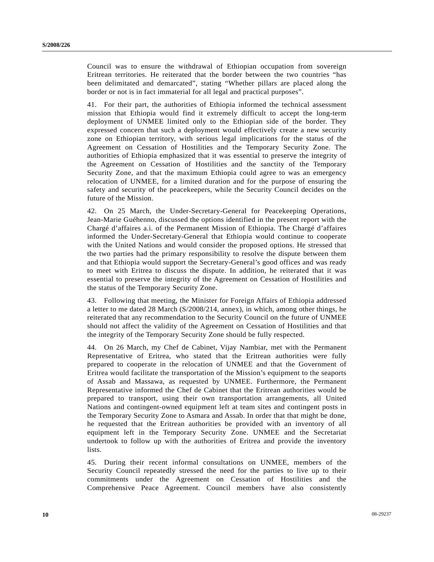Council was to ensure the withdrawal of Ethiopian occupation from sovereign Eritrean territories. He reiterated that the border between the two countries "has been delimitated and demarcated", stating "Whether pillars are placed along the border or not is in fact immaterial for all legal and practical purposes".

41. For their part, the authorities of Ethiopia informed the technical assessment mission that Ethiopia would find it extremely difficult to accept the long-term deployment of UNMEE limited only to the Ethiopian side of the border. They expressed concern that such a deployment would effectively create a new security zone on Ethiopian territory, with serious legal implications for the status of the Agreement on Cessation of Hostilities and the Temporary Security Zone. The authorities of Ethiopia emphasized that it was essential to preserve the integrity of the Agreement on Cessation of Hostilities and the sanctity of the Temporary Security Zone, and that the maximum Ethiopia could agree to was an emergency relocation of UNMEE, for a limited duration and for the purpose of ensuring the safety and security of the peacekeepers, while the Security Council decides on the future of the Mission.

42. On 25 March, the Under-Secretary-General for Peacekeeping Operations, Jean-Marie Guéhenno, discussed the options identified in the present report with the Chargé d'affaires a.i. of the Permanent Mission of Ethiopia. The Chargé d'affaires informed the Under-Secretary-General that Ethiopia would continue to cooperate with the United Nations and would consider the proposed options. He stressed that the two parties had the primary responsibility to resolve the dispute between them and that Ethiopia would support the Secretary-General's good offices and was ready to meet with Eritrea to discuss the dispute. In addition, he reiterated that it was essential to preserve the integrity of the Agreement on Cessation of Hostilities and the status of the Temporary Security Zone.

43. Following that meeting, the Minister for Foreign Affairs of Ethiopia addressed a letter to me dated 28 March (S/2008/214, annex), in which, among other things, he reiterated that any recommendation to the Security Council on the future of UNMEE should not affect the validity of the Agreement on Cessation of Hostilities and that the integrity of the Temporary Security Zone should be fully respected.

44. On 26 March, my Chef de Cabinet, Vijay Nambiar, met with the Permanent Representative of Eritrea, who stated that the Eritrean authorities were fully prepared to cooperate in the relocation of UNMEE and that the Government of Eritrea would facilitate the transportation of the Mission's equipment to the seaports of Assab and Massawa, as requested by UNMEE. Furthermore, the Permanent Representative informed the Chef de Cabinet that the Eritrean authorities would be prepared to transport, using their own transportation arrangements, all United Nations and contingent-owned equipment left at team sites and contingent posts in the Temporary Security Zone to Asmara and Assab. In order that that might be done, he requested that the Eritrean authorities be provided with an inventory of all equipment left in the Temporary Security Zone. UNMEE and the Secretariat undertook to follow up with the authorities of Eritrea and provide the inventory lists.

45. During their recent informal consultations on UNMEE, members of the Security Council repeatedly stressed the need for the parties to live up to their commitments under the Agreement on Cessation of Hostilities and the Comprehensive Peace Agreement. Council members have also consistently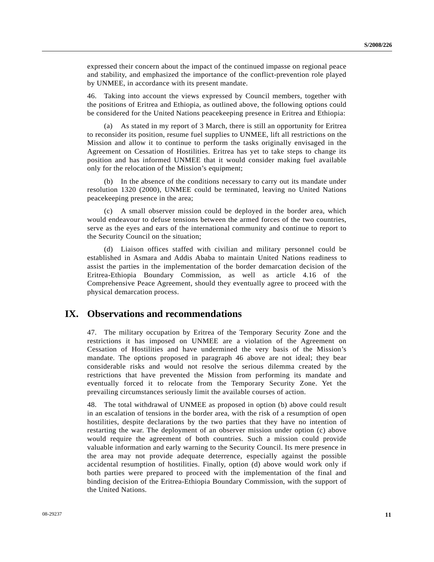expressed their concern about the impact of the continued impasse on regional peace and stability, and emphasized the importance of the conflict-prevention role played by UNMEE, in accordance with its present mandate.

46. Taking into account the views expressed by Council members, together with the positions of Eritrea and Ethiopia, as outlined above, the following options could be considered for the United Nations peacekeeping presence in Eritrea and Ethiopia:

 (a) As stated in my report of 3 March, there is still an opportunity for Eritrea to reconsider its position, resume fuel supplies to UNMEE, lift all restrictions on the Mission and allow it to continue to perform the tasks originally envisaged in the Agreement on Cessation of Hostilities. Eritrea has yet to take steps to change its position and has informed UNMEE that it would consider making fuel available only for the relocation of the Mission's equipment;

 (b) In the absence of the conditions necessary to carry out its mandate under resolution 1320 (2000), UNMEE could be terminated, leaving no United Nations peacekeeping presence in the area;

 (c) A small observer mission could be deployed in the border area, which would endeavour to defuse tensions between the armed forces of the two countries, serve as the eyes and ears of the international community and continue to report to the Security Council on the situation;

 (d) Liaison offices staffed with civilian and military personnel could be established in Asmara and Addis Ababa to maintain United Nations readiness to assist the parties in the implementation of the border demarcation decision of the Eritrea-Ethiopia Boundary Commission, as well as article 4.16 of the Comprehensive Peace Agreement, should they eventually agree to proceed with the physical demarcation process.

#### **IX. Observations and recommendations**

47. The military occupation by Eritrea of the Temporary Security Zone and the restrictions it has imposed on UNMEE are a violation of the Agreement on Cessation of Hostilities and have undermined the very basis of the Mission's mandate. The options proposed in paragraph 46 above are not ideal; they bear considerable risks and would not resolve the serious dilemma created by the restrictions that have prevented the Mission from performing its mandate and eventually forced it to relocate from the Temporary Security Zone. Yet the prevailing circumstances seriously limit the available courses of action.

48. The total withdrawal of UNMEE as proposed in option (b) above could result in an escalation of tensions in the border area, with the risk of a resumption of open hostilities, despite declarations by the two parties that they have no intention of restarting the war. The deployment of an observer mission under option (c) above would require the agreement of both countries. Such a mission could provide valuable information and early warning to the Security Council. Its mere presence in the area may not provide adequate deterrence, especially against the possible accidental resumption of hostilities. Finally, option (d) above would work only if both parties were prepared to proceed with the implementation of the final and binding decision of the Eritrea-Ethiopia Boundary Commission, with the support of the United Nations.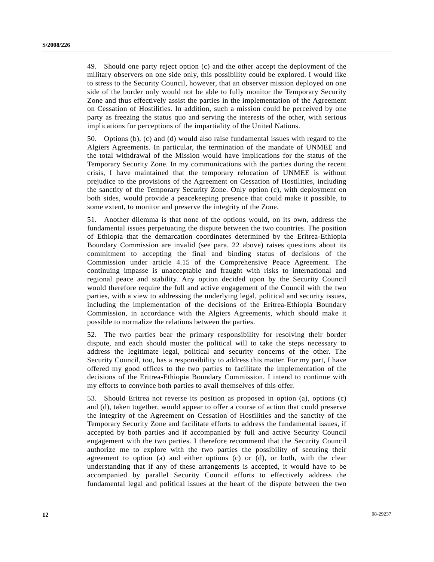49. Should one party reject option (c) and the other accept the deployment of the military observers on one side only, this possibility could be explored. I would like to stress to the Security Council, however, that an observer mission deployed on one side of the border only would not be able to fully monitor the Temporary Security Zone and thus effectively assist the parties in the implementation of the Agreement on Cessation of Hostilities. In addition, such a mission could be perceived by one party as freezing the status quo and serving the interests of the other, with serious implications for perceptions of the impartiality of the United Nations.

50. Options (b), (c) and (d) would also raise fundamental issues with regard to the Algiers Agreements. In particular, the termination of the mandate of UNMEE and the total withdrawal of the Mission would have implications for the status of the Temporary Security Zone. In my communications with the parties during the recent crisis, I have maintained that the temporary relocation of UNMEE is without prejudice to the provisions of the Agreement on Cessation of Hostilities, including the sanctity of the Temporary Security Zone. Only option (c), with deployment on both sides, would provide a peacekeeping presence that could make it possible, to some extent, to monitor and preserve the integrity of the Zone.

51. Another dilemma is that none of the options would, on its own, address the fundamental issues perpetuating the dispute between the two countries. The position of Ethiopia that the demarcation coordinates determined by the Eritrea-Ethiopia Boundary Commission are invalid (see para. 22 above) raises questions about its commitment to accepting the final and binding status of decisions of the Commission under article 4.15 of the Comprehensive Peace Agreement. The continuing impasse is unacceptable and fraught with risks to international and regional peace and stability. Any option decided upon by the Security Council would therefore require the full and active engagement of the Council with the two parties, with a view to addressing the underlying legal, political and security issues, including the implementation of the decisions of the Eritrea-Ethiopia Boundary Commission, in accordance with the Algiers Agreements, which should make it possible to normalize the relations between the parties.

52. The two parties bear the primary responsibility for resolving their border dispute, and each should muster the political will to take the steps necessary to address the legitimate legal, political and security concerns of the other. The Security Council, too, has a responsibility to address this matter. For my part, I have offered my good offices to the two parties to facilitate the implementation of the decisions of the Eritrea-Ethiopia Boundary Commission. I intend to continue with my efforts to convince both parties to avail themselves of this offer.

53. Should Eritrea not reverse its position as proposed in option (a), options (c) and (d), taken together, would appear to offer a course of action that could preserve the integrity of the Agreement on Cessation of Hostilities and the sanctity of the Temporary Security Zone and facilitate efforts to address the fundamental issues, if accepted by both parties and if accompanied by full and active Security Council engagement with the two parties. I therefore recommend that the Security Council authorize me to explore with the two parties the possibility of securing their agreement to option (a) and either options  $(c)$  or  $(d)$ , or both, with the clear understanding that if any of these arrangements is accepted, it would have to be accompanied by parallel Security Council efforts to effectively address the fundamental legal and political issues at the heart of the dispute between the two